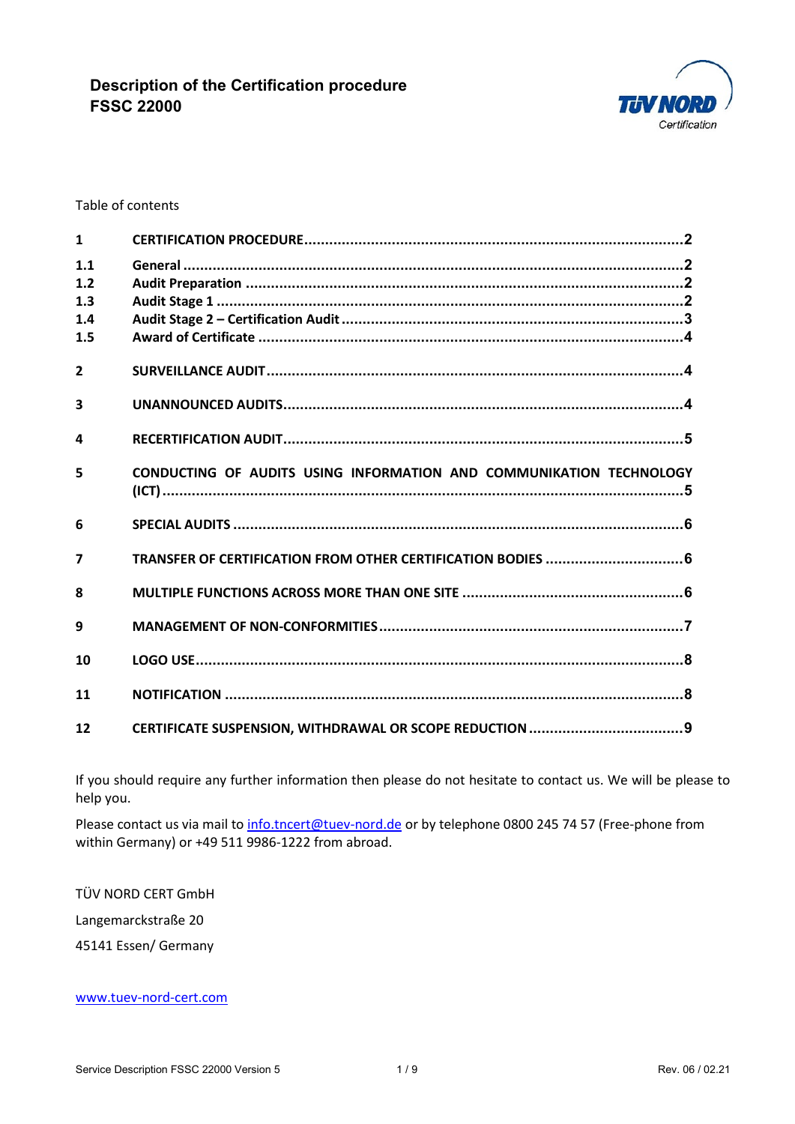

### Table of contents

| $\mathbf{1}$   |                                                                     |
|----------------|---------------------------------------------------------------------|
| 1.1<br>1.2     |                                                                     |
| 1.3            |                                                                     |
| 1.4            |                                                                     |
| 1.5            |                                                                     |
| $\overline{2}$ |                                                                     |
| 3              |                                                                     |
| 4              |                                                                     |
| 5              | CONDUCTING OF AUDITS USING INFORMATION AND COMMUNIKATION TECHNOLOGY |
| 6              |                                                                     |
| $\overline{7}$ | TRANSFER OF CERTIFICATION FROM OTHER CERTIFICATION BODIES  6        |
| $\mathbf{R}$   |                                                                     |
| 9              |                                                                     |
| 10             |                                                                     |
| 11             |                                                                     |
| 12             |                                                                     |

If you should require any further information then please do not hesitate to contact us. We will be please to help you.

Please contact us via mail to [info.tncert@tuev-nord.de](mailto:info.tncert@tuev-nord.de) or by telephone 0800 245 74 57 (Free-phone from within Germany) or +49 511 9986-1222 from abroad.

TÜV NORD CERT GmbH Langemarckstraße 20

45141 Essen/ Germany

### [www.tuev-nord-cert.com](http://www.tuev-nord-cert.com/)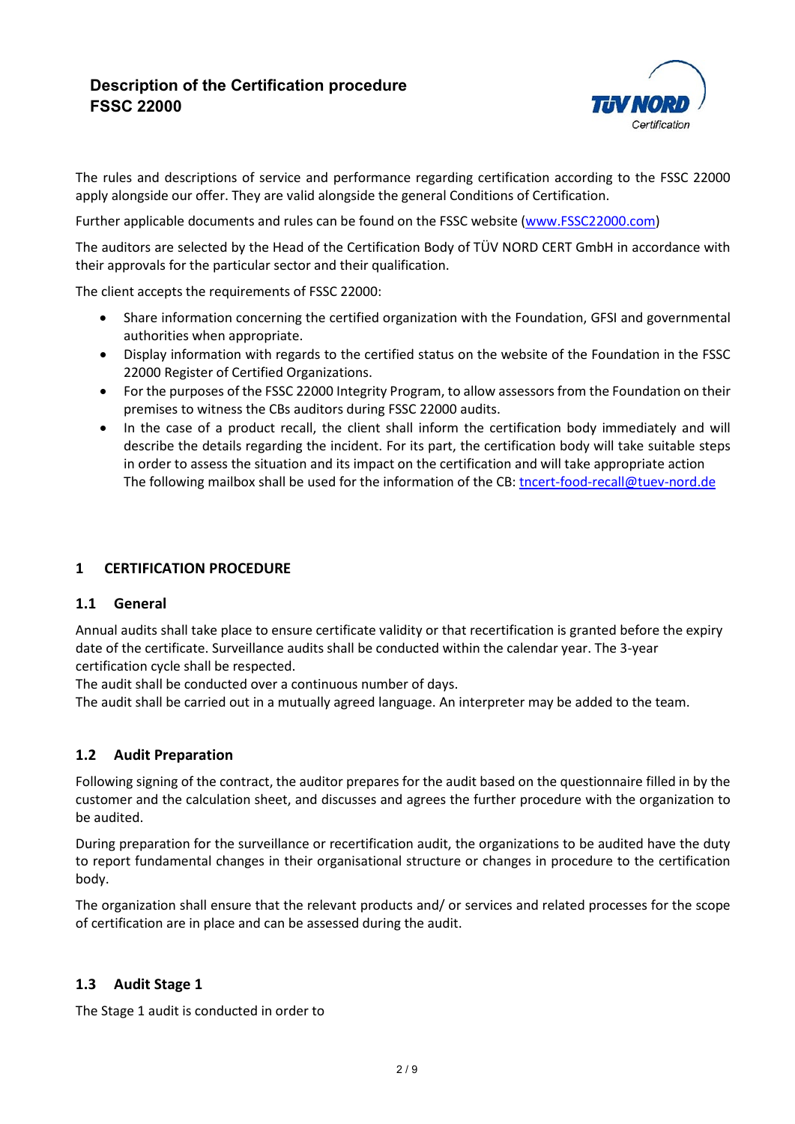

The rules and descriptions of service and performance regarding certification according to the FSSC 22000 apply alongside our offer. They are valid alongside the general Conditions of Certification.

Further applicable documents and rules can be found on the FSSC website [\(www.FSSC22000.com\)](http://www.fssc22000.com/)

The auditors are selected by the Head of the Certification Body of TÜV NORD CERT GmbH in accordance with their approvals for the particular sector and their qualification.

The client accepts the requirements of FSSC 22000:

- Share information concerning the certified organization with the Foundation, GFSI and governmental authorities when appropriate.
- Display information with regards to the certified status on the website of the Foundation in the FSSC 22000 Register of Certified Organizations.
- For the purposes of the FSSC 22000 Integrity Program, to allow assessors from the Foundation on their premises to witness the CBs auditors during FSSC 22000 audits.
- In the case of a product recall, the client shall inform the certification body immediately and will describe the details regarding the incident. For its part, the certification body will take suitable steps in order to assess the situation and its impact on the certification and will take appropriate action The following mailbox shall be used for the information of the CB: [tncert-food-recall@tuev-nord.de](mailto:tncert-food-recall@tuev-nord.de)

## **1 CERTIFICATION PROCEDURE**

### **1.1 General**

Annual audits shall take place to ensure certificate validity or that recertification is granted before the expiry date of the certificate. Surveillance audits shall be conducted within the calendar year. The 3-year certification cycle shall be respected.

The audit shall be conducted over a continuous number of days.

The audit shall be carried out in a mutually agreed language. An interpreter may be added to the team.

### **1.2 Audit Preparation**

Following signing of the contract, the auditor prepares for the audit based on the questionnaire filled in by the customer and the calculation sheet, and discusses and agrees the further procedure with the organization to be audited.

During preparation for the surveillance or recertification audit, the organizations to be audited have the duty to report fundamental changes in their organisational structure or changes in procedure to the certification body.

The organization shall ensure that the relevant products and/ or services and related processes for the scope of certification are in place and can be assessed during the audit.

### **1.3 Audit Stage 1**

The Stage 1 audit is conducted in order to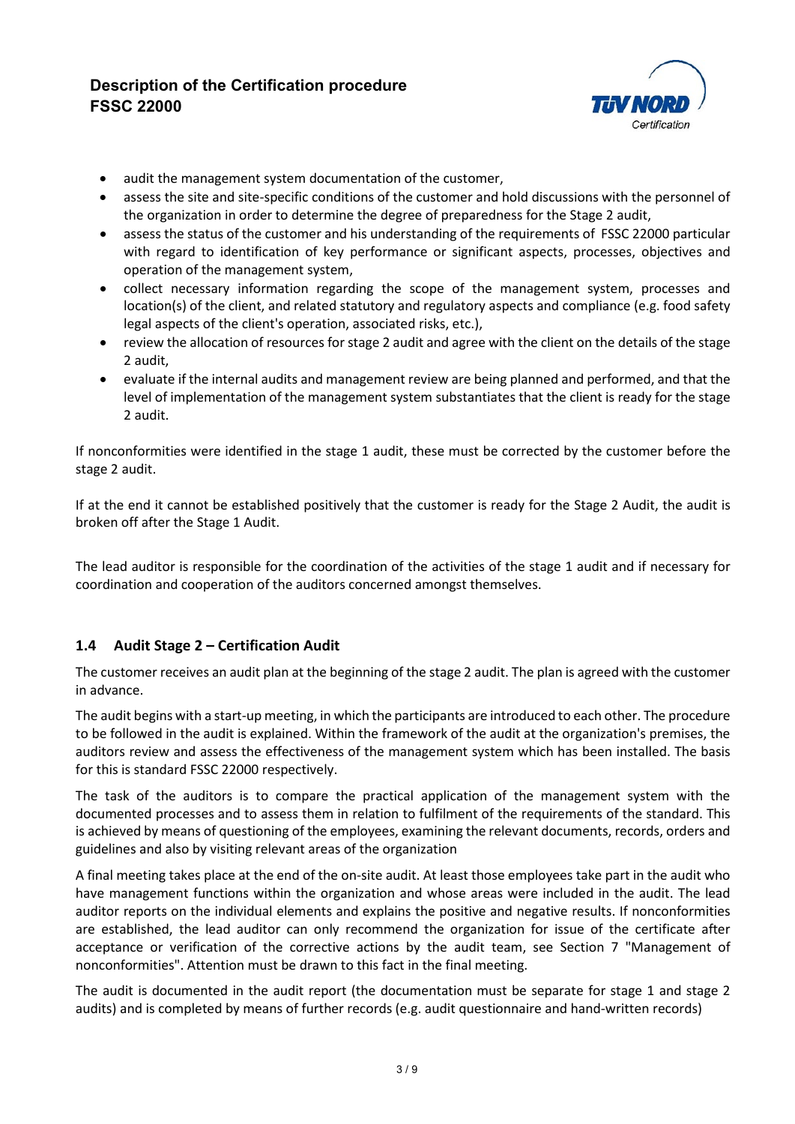

- audit the management system documentation of the customer,
- assess the site and site-specific conditions of the customer and hold discussions with the personnel of the organization in order to determine the degree of preparedness for the Stage 2 audit,
- assess the status of the customer and his understanding of the requirements of FSSC 22000 particular with regard to identification of key performance or significant aspects, processes, objectives and operation of the management system,
- collect necessary information regarding the scope of the management system, processes and location(s) of the client, and related statutory and regulatory aspects and compliance (e.g. food safety legal aspects of the client's operation, associated risks, etc.),
- review the allocation of resources for stage 2 audit and agree with the client on the details of the stage 2 audit,
- evaluate if the internal audits and management review are being planned and performed, and that the level of implementation of the management system substantiates that the client is ready for the stage 2 audit.

If nonconformities were identified in the stage 1 audit, these must be corrected by the customer before the stage 2 audit.

If at the end it cannot be established positively that the customer is ready for the Stage 2 Audit, the audit is broken off after the Stage 1 Audit.

The lead auditor is responsible for the coordination of the activities of the stage 1 audit and if necessary for coordination and cooperation of the auditors concerned amongst themselves.

## **1.4 Audit Stage 2 – Certification Audit**

The customer receives an audit plan at the beginning of the stage 2 audit. The plan is agreed with the customer in advance.

The audit begins with a start-up meeting, in which the participants are introduced to each other. The procedure to be followed in the audit is explained. Within the framework of the audit at the organization's premises, the auditors review and assess the effectiveness of the management system which has been installed. The basis for this is standard FSSC 22000 respectively.

The task of the auditors is to compare the practical application of the management system with the documented processes and to assess them in relation to fulfilment of the requirements of the standard. This is achieved by means of questioning of the employees, examining the relevant documents, records, orders and guidelines and also by visiting relevant areas of the organization

A final meeting takes place at the end of the on-site audit. At least those employees take part in the audit who have management functions within the organization and whose areas were included in the audit. The lead auditor reports on the individual elements and explains the positive and negative results. If nonconformities are established, the lead auditor can only recommend the organization for issue of the certificate after acceptance or verification of the corrective actions by the audit team, see Section 7 "Management of nonconformities". Attention must be drawn to this fact in the final meeting.

The audit is documented in the audit report (the documentation must be separate for stage 1 and stage 2 audits) and is completed by means of further records (e.g. audit questionnaire and hand-written records)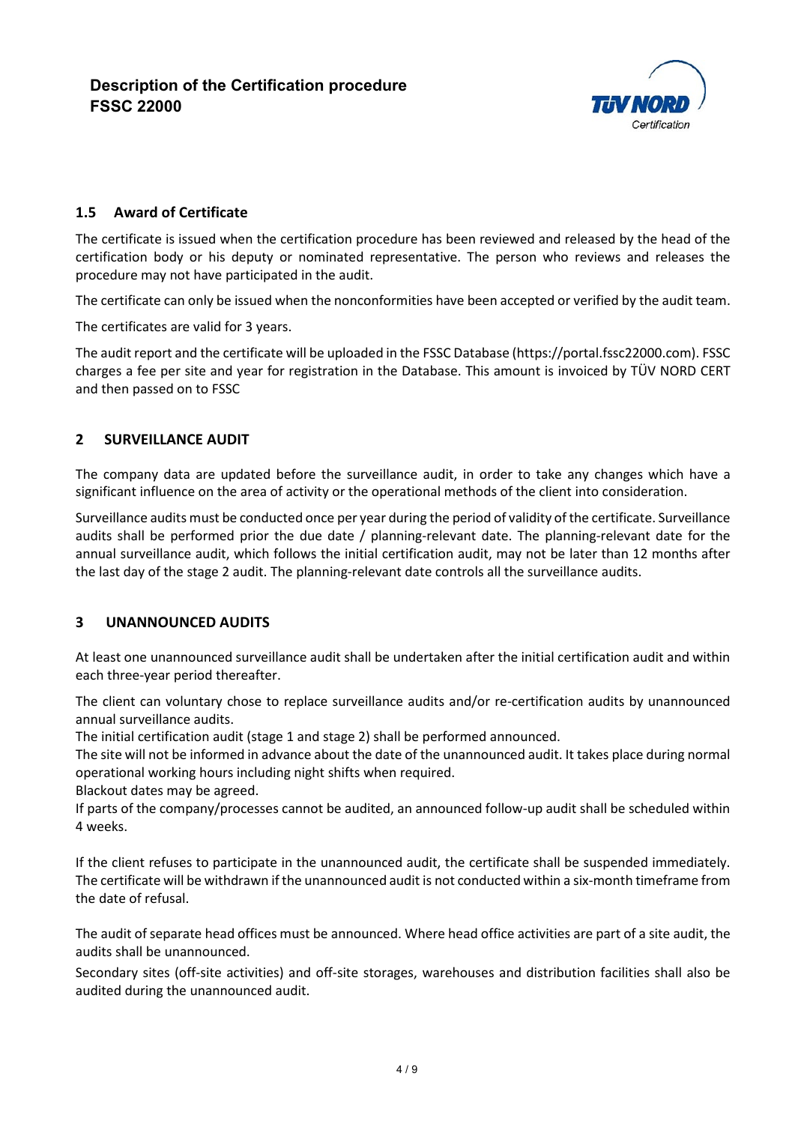

### **1.5 Award of Certificate**

The certificate is issued when the certification procedure has been reviewed and released by the head of the certification body or his deputy or nominated representative. The person who reviews and releases the procedure may not have participated in the audit.

The certificate can only be issued when the nonconformities have been accepted or verified by the audit team.

The certificates are valid for 3 years.

The audit report and the certificate will be uploaded in the FSSC Database (https://portal.fssc22000.com). FSSC charges a fee per site and year for registration in the Database. This amount is invoiced by TÜV NORD CERT and then passed on to FSSC

### **2 SURVEILLANCE AUDIT**

The company data are updated before the surveillance audit, in order to take any changes which have a significant influence on the area of activity or the operational methods of the client into consideration.

Surveillance audits must be conducted once per year during the period of validity of the certificate. Surveillance audits shall be performed prior the due date / planning-relevant date. The planning-relevant date for the annual surveillance audit, which follows the initial certification audit, may not be later than 12 months after the last day of the stage 2 audit. The planning-relevant date controls all the surveillance audits.

### **3 UNANNOUNCED AUDITS**

At least one unannounced surveillance audit shall be undertaken after the initial certification audit and within each three-year period thereafter.

The client can voluntary chose to replace surveillance audits and/or re-certification audits by unannounced annual surveillance audits.

The initial certification audit (stage 1 and stage 2) shall be performed announced.

The site will not be informed in advance about the date of the unannounced audit. It takes place during normal operational working hours including night shifts when required.

Blackout dates may be agreed.

If parts of the company/processes cannot be audited, an announced follow-up audit shall be scheduled within 4 weeks.

If the client refuses to participate in the unannounced audit, the certificate shall be suspended immediately. The certificate will be withdrawn if the unannounced audit is not conducted within a six-month timeframe from the date of refusal.

The audit of separate head offices must be announced. Where head office activities are part of a site audit, the audits shall be unannounced.

Secondary sites (off-site activities) and off-site storages, warehouses and distribution facilities shall also be audited during the unannounced audit.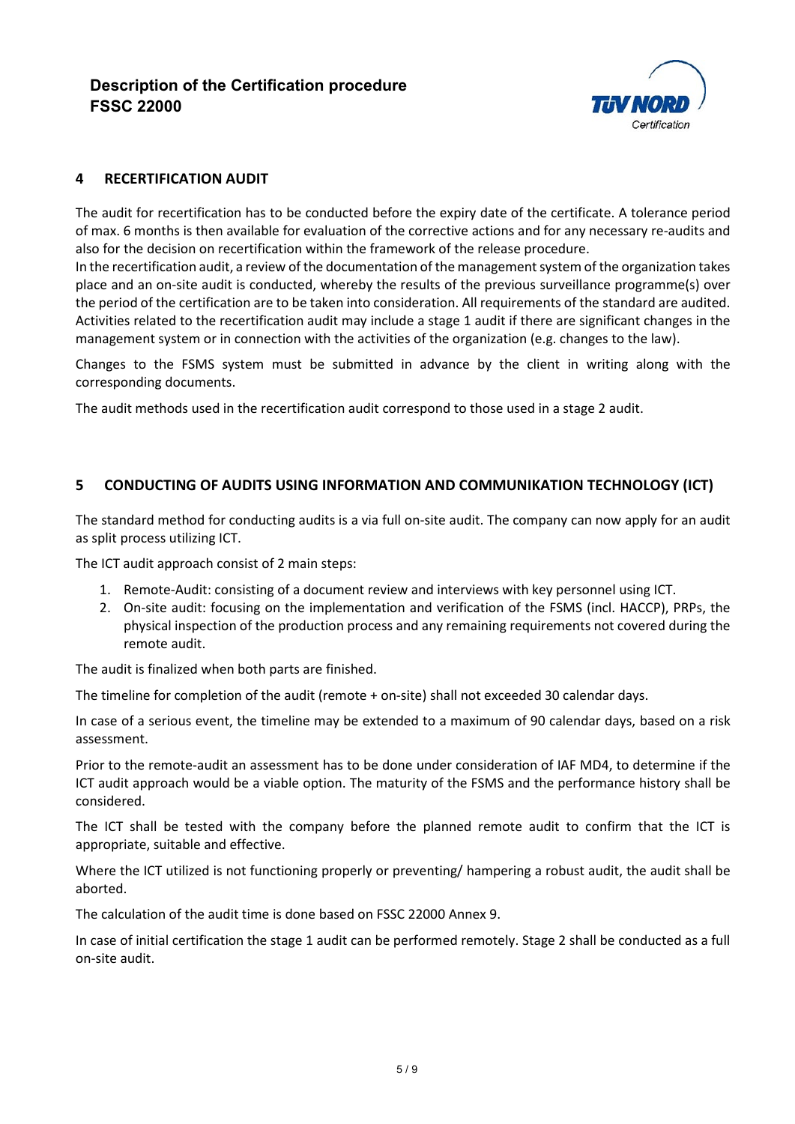

### **4 RECERTIFICATION AUDIT**

The audit for recertification has to be conducted before the expiry date of the certificate. A tolerance period of max. 6 months is then available for evaluation of the corrective actions and for any necessary re-audits and also for the decision on recertification within the framework of the release procedure.

In the recertification audit, a review of the documentation of the management system of the organization takes place and an on-site audit is conducted, whereby the results of the previous surveillance programme(s) over the period of the certification are to be taken into consideration. All requirements of the standard are audited. Activities related to the recertification audit may include a stage 1 audit if there are significant changes in the management system or in connection with the activities of the organization (e.g. changes to the law).

Changes to the FSMS system must be submitted in advance by the client in writing along with the corresponding documents.

The audit methods used in the recertification audit correspond to those used in a stage 2 audit.

### **5 CONDUCTING OF AUDITS USING INFORMATION AND COMMUNIKATION TECHNOLOGY (ICT)**

The standard method for conducting audits is a via full on-site audit. The company can now apply for an audit as split process utilizing ICT.

The ICT audit approach consist of 2 main steps:

- 1. Remote-Audit: consisting of a document review and interviews with key personnel using ICT.
- 2. On-site audit: focusing on the implementation and verification of the FSMS (incl. HACCP), PRPs, the physical inspection of the production process and any remaining requirements not covered during the remote audit.

The audit is finalized when both parts are finished.

The timeline for completion of the audit (remote + on-site) shall not exceeded 30 calendar days.

In case of a serious event, the timeline may be extended to a maximum of 90 calendar days, based on a risk assessment.

Prior to the remote-audit an assessment has to be done under consideration of IAF MD4, to determine if the ICT audit approach would be a viable option. The maturity of the FSMS and the performance history shall be considered.

The ICT shall be tested with the company before the planned remote audit to confirm that the ICT is appropriate, suitable and effective.

Where the ICT utilized is not functioning properly or preventing/ hampering a robust audit, the audit shall be aborted.

The calculation of the audit time is done based on FSSC 22000 Annex 9.

In case of initial certification the stage 1 audit can be performed remotely. Stage 2 shall be conducted as a full on-site audit.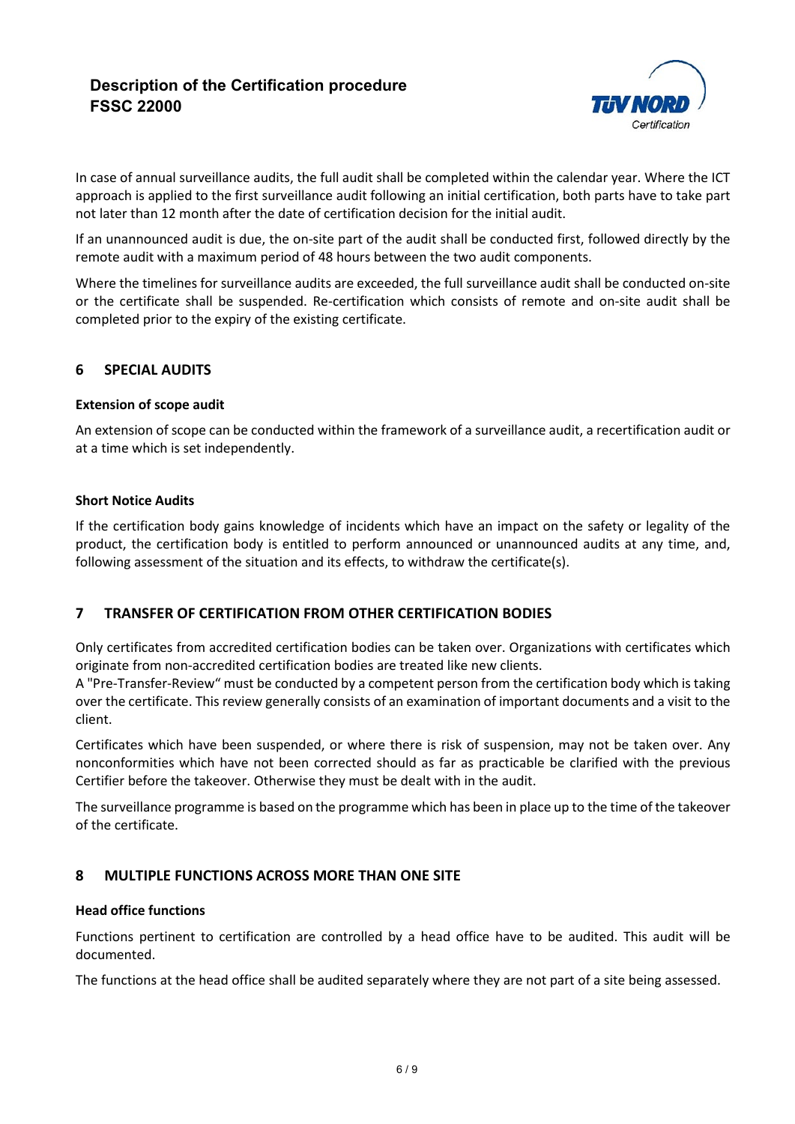

In case of annual surveillance audits, the full audit shall be completed within the calendar year. Where the ICT approach is applied to the first surveillance audit following an initial certification, both parts have to take part not later than 12 month after the date of certification decision for the initial audit.

If an unannounced audit is due, the on-site part of the audit shall be conducted first, followed directly by the remote audit with a maximum period of 48 hours between the two audit components.

Where the timelines for surveillance audits are exceeded, the full surveillance audit shall be conducted on-site or the certificate shall be suspended. Re-certification which consists of remote and on-site audit shall be completed prior to the expiry of the existing certificate.

### **6 SPECIAL AUDITS**

### **Extension of scope audit**

An extension of scope can be conducted within the framework of a surveillance audit, a recertification audit or at a time which is set independently.

#### **Short Notice Audits**

If the certification body gains knowledge of incidents which have an impact on the safety or legality of the product, the certification body is entitled to perform announced or unannounced audits at any time, and, following assessment of the situation and its effects, to withdraw the certificate(s).

### **7 TRANSFER OF CERTIFICATION FROM OTHER CERTIFICATION BODIES**

Only certificates from accredited certification bodies can be taken over. Organizations with certificates which originate from non-accredited certification bodies are treated like new clients.

A "Pre-Transfer-Review" must be conducted by a competent person from the certification body which is taking over the certificate. This review generally consists of an examination of important documents and a visit to the client.

Certificates which have been suspended, or where there is risk of suspension, may not be taken over. Any nonconformities which have not been corrected should as far as practicable be clarified with the previous Certifier before the takeover. Otherwise they must be dealt with in the audit.

The surveillance programme is based on the programme which has been in place up to the time of the takeover of the certificate.

### **8 MULTIPLE FUNCTIONS ACROSS MORE THAN ONE SITE**

### **Head office functions**

Functions pertinent to certification are controlled by a head office have to be audited. This audit will be documented.

The functions at the head office shall be audited separately where they are not part of a site being assessed.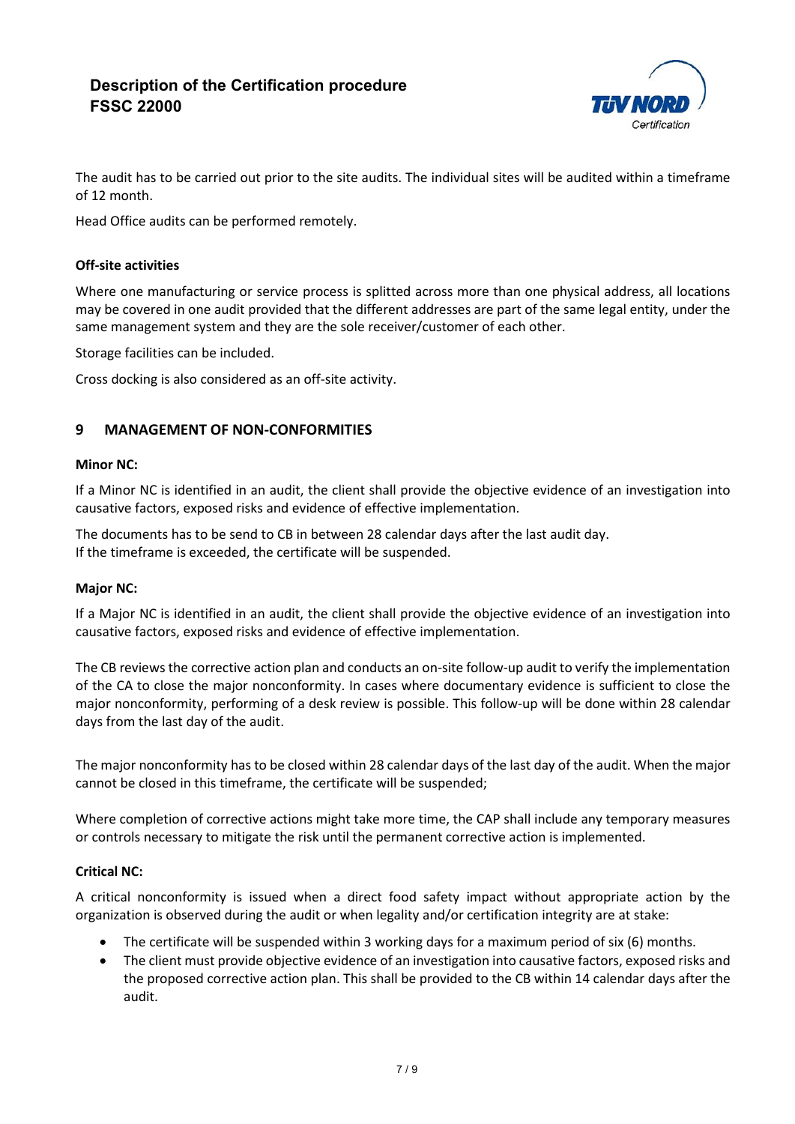

The audit has to be carried out prior to the site audits. The individual sites will be audited within a timeframe of 12 month.

Head Office audits can be performed remotely.

### **Off-site activities**

Where one manufacturing or service process is splitted across more than one physical address, all locations may be covered in one audit provided that the different addresses are part of the same legal entity, under the same management system and they are the sole receiver/customer of each other.

Storage facilities can be included.

Cross docking is also considered as an off-site activity.

### **9 MANAGEMENT OF NON-CONFORMITIES**

### **Minor NC:**

If a Minor NC is identified in an audit, the client shall provide the objective evidence of an investigation into causative factors, exposed risks and evidence of effective implementation.

The documents has to be send to CB in between 28 calendar days after the last audit day. If the timeframe is exceeded, the certificate will be suspended.

### **Major NC:**

If a Major NC is identified in an audit, the client shall provide the objective evidence of an investigation into causative factors, exposed risks and evidence of effective implementation.

The CB reviews the corrective action plan and conducts an on-site follow-up audit to verify the implementation of the CA to close the major nonconformity. In cases where documentary evidence is sufficient to close the major nonconformity, performing of a desk review is possible. This follow-up will be done within 28 calendar days from the last day of the audit.

The major nonconformity has to be closed within 28 calendar days of the last day of the audit. When the major cannot be closed in this timeframe, the certificate will be suspended;

Where completion of corrective actions might take more time, the CAP shall include any temporary measures or controls necessary to mitigate the risk until the permanent corrective action is implemented.

### **Critical NC:**

A critical nonconformity is issued when a direct food safety impact without appropriate action by the organization is observed during the audit or when legality and/or certification integrity are at stake:

- The certificate will be suspended within 3 working days for a maximum period of six (6) months.
- The client must provide objective evidence of an investigation into causative factors, exposed risks and the proposed corrective action plan. This shall be provided to the CB within 14 calendar days after the audit.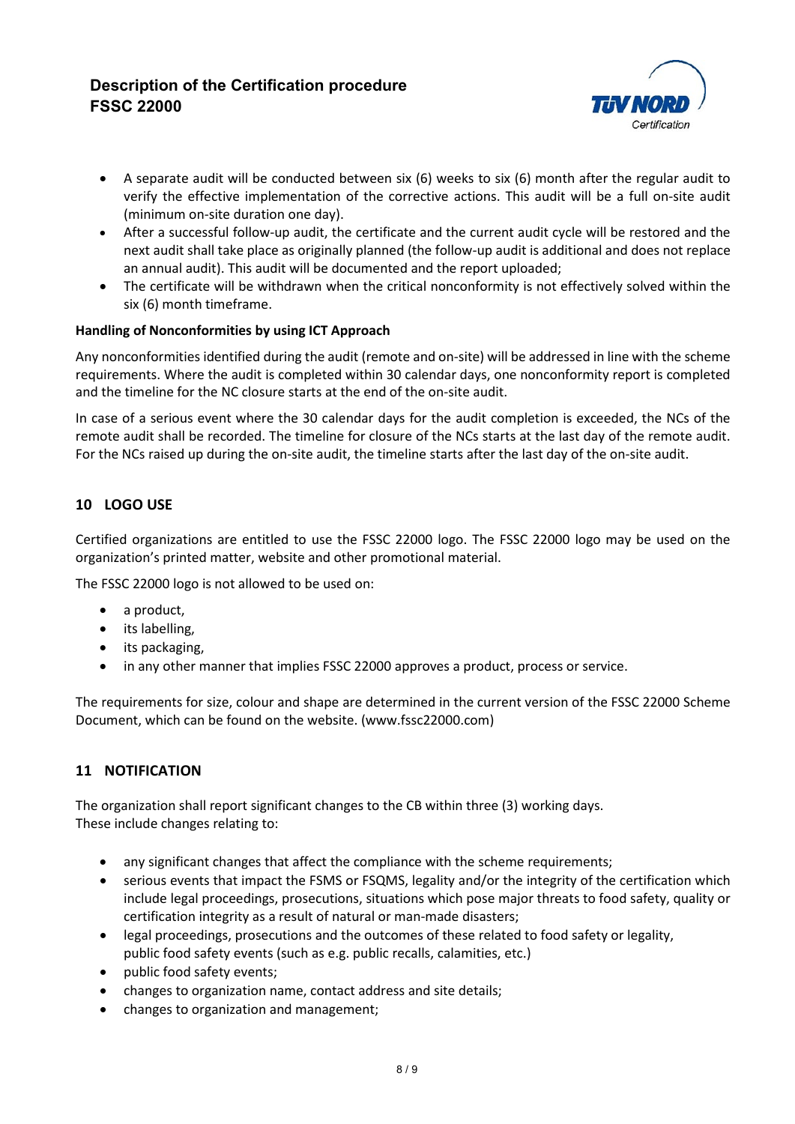

- A separate audit will be conducted between six (6) weeks to six (6) month after the regular audit to verify the effective implementation of the corrective actions. This audit will be a full on-site audit (minimum on-site duration one day).
- After a successful follow-up audit, the certificate and the current audit cycle will be restored and the next audit shall take place as originally planned (the follow-up audit is additional and does not replace an annual audit). This audit will be documented and the report uploaded;
- The certificate will be withdrawn when the critical nonconformity is not effectively solved within the six (6) month timeframe.

### **Handling of Nonconformities by using ICT Approach**

Any nonconformities identified during the audit (remote and on-site) will be addressed in line with the scheme requirements. Where the audit is completed within 30 calendar days, one nonconformity report is completed and the timeline for the NC closure starts at the end of the on-site audit.

In case of a serious event where the 30 calendar days for the audit completion is exceeded, the NCs of the remote audit shall be recorded. The timeline for closure of the NCs starts at the last day of the remote audit. For the NCs raised up during the on-site audit, the timeline starts after the last day of the on-site audit.

## **10 LOGO USE**

Certified organizations are entitled to use the FSSC 22000 logo. The FSSC 22000 logo may be used on the organization's printed matter, website and other promotional material.

The FSSC 22000 logo is not allowed to be used on:

- a product,
- its labelling,
- its packaging,
- in any other manner that implies FSSC 22000 approves a product, process or service.

The requirements for size, colour and shape are determined in the current version of the FSSC 22000 Scheme Document, which can be found on the website. (www.fssc22000.com)

### **11 NOTIFICATION**

The organization shall report significant changes to the CB within three (3) working days. These include changes relating to:

- any significant changes that affect the compliance with the scheme requirements;
- serious events that impact the FSMS or FSQMS, legality and/or the integrity of the certification which include legal proceedings, prosecutions, situations which pose major threats to food safety, quality or certification integrity as a result of natural or man-made disasters;
- legal proceedings, prosecutions and the outcomes of these related to food safety or legality, public food safety events (such as e.g. public recalls, calamities, etc.)
- public food safety events;
- changes to organization name, contact address and site details;
- changes to organization and management;